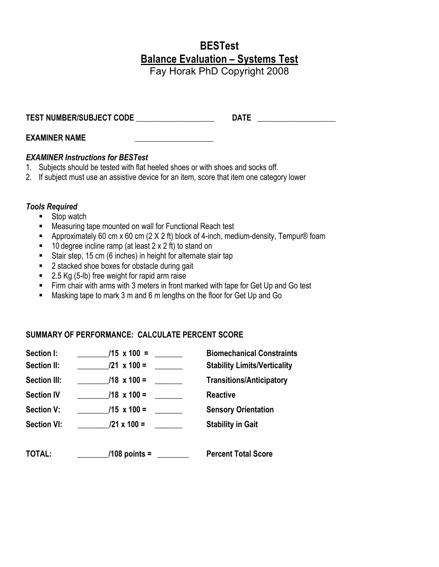# **BESTest Balance Evaluation – Systems Test** Fay Horak PhD Copyright 2008

**TEST NUMBER/SUBJECT CODE \_\_\_\_\_\_\_\_\_\_\_\_\_\_\_\_\_\_\_\_ DATE \_\_\_\_\_\_\_\_\_\_\_\_\_\_\_\_\_\_\_\_**

# **EXAMINER NAME \_\_\_\_\_\_\_\_\_\_\_\_\_\_\_\_\_\_\_\_**

# *EXAMINER Instructions for BESTest*

- 1. Subjects should be tested with flat heeled shoes or with shoes and socks off.
- 2. If subject must use an assistive device for an item, score that item one category lower

# *Tools Required*

- Stop watch
- **Measuring tape mounted on wall for Functional Reach test**
- **Approximately 60 cm x 60 cm (2 X 2 ft) block of 4-inch, medium-density, Tempur® foam**
- $\blacksquare$  10 degree incline ramp (at least 2 x 2 ft) to stand on
- Stair step, 15 cm (6 inches) in height for alternate stair tap
- 2 stacked shoe boxes for obstacle during gait
- 2.5 Kg (5-lb) free weight for rapid arm raise
- Firm chair with arms with 3 meters in front marked with tape for Get Up and Go test
- **Masking tape to mark 3 m and 6 m lengths on the floor for Get Up and Go**

# **SUMMARY OF PERFORMANCE: CALCULATE PERCENT SCORE**

| Section I:          | $/15 \times 100 =$ | <b>Biomechanical Constraints</b>    |
|---------------------|--------------------|-------------------------------------|
| Section II:         | $/21 \times 100 =$ | <b>Stability Limits/Verticality</b> |
| <b>Section III:</b> | $/18 \times 100 =$ | <b>Transitions/Anticipatory</b>     |
| <b>Section IV</b>   | $/18 \times 100 =$ | <b>Reactive</b>                     |
| <b>Section V:</b>   | $/15 \times 100 =$ | <b>Sensory Orientation</b>          |
| <b>Section VI:</b>  | $/21 \times 100 =$ | <b>Stability in Gait</b>            |
|                     |                    |                                     |
| <b>TOTAL:</b>       | $/108$ points =    | <b>Percent Total Score</b>          |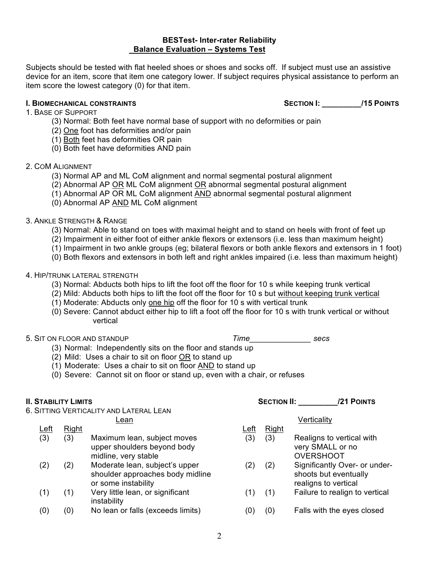#### **BESTest- Inter-rater Reliability Balance Evaluation – Systems Test**

Subjects should be tested with flat heeled shoes or shoes and socks off. If subject must use an assistive device for an item, score that item one category lower. If subject requires physical assistance to perform an item score the lowest category (0) for that item.

**I. BIOMECHANICAL CONSTRAINTS SECTION I: \_\_\_\_\_\_\_\_\_/15 POINTS**

- 1. BASE OF SUPPORT
	- (3) Normal: Both feet have normal base of support with no deformities or pain
	- (2) One foot has deformities and/or pain
	- (1) Both feet has deformities OR pain
	- (0) Both feet have deformities AND pain
- 2. COM ALIGNMENT
	- (3) Normal AP and ML CoM alignment and normal segmental postural alignment
	- (2) Abnormal AP OR ML CoM alignment OR abnormal segmental postural alignment
	- (1) Abnormal AP OR ML CoM alignment AND abnormal segmental postural alignment
	- (0) Abnormal AP AND ML CoM alignment
- 3. ANKLE STRENGTH & RANGE
	- (3) Normal: Able to stand on toes with maximal height and to stand on heels with front of feet up
	- (2) Impairment in either foot of either ankle flexors or extensors (i.e. less than maximum height)
	- (1) Impairment in two ankle groups (eg; bilateral flexors or both ankle flexors and extensors in 1 foot)
	- (0) Both flexors and extensors in both left and right ankles impaired (i.e. less than maximum height)

### 4. HIP/TRUNK LATERAL STRENGTH

- (3) Normal: Abducts both hips to lift the foot off the floor for 10 s while keeping trunk vertical
- (2) Mild: Abducts both hips to lift the foot off the floor for 10 s but without keeping trunk vertical
- (1) Moderate: Abducts only one hip off the floor for 10 s with vertical trunk
- (0) Severe: Cannot abduct either hip to lift a foot off the floor for 10 s with trunk vertical or without vertical

- 5. SIT ON FLOOR AND STANDUP *Time\_\_\_\_\_\_\_\_\_\_\_\_\_\_ secs*
	- (3) Normal: Independently sits on the floor and stands up
	- (2) Mild: Uses a chair to sit on floor OR to stand up
	- (1) Moderate: Uses a chair to sit on floor AND to stand up
	- (0) Severe: Cannot sit on floor or stand up, even with a chair, or refuses

**II. STABILITY LIMITS SECTION II: \_\_\_\_\_\_\_\_\_/21 POINTS**

6. SITTING VERTICALITY AND LATERAL LEAN

- Left Right **Example 2018** (3) (3) Maximum lean, subject moves upper shoulders beyond body midline, very stable
- (2) (2) Moderate lean, subject's upper shoulder approaches body midline or some instability (1) (1) Very little lean, or significant
- instability
- (0) (0) No lean or falls (exceeds limits) (0) (0) Falls with the eyes closed
- Lean Verticality
	- (3) (3) Realigns to vertical with very SMALL or no
	- OVERSHOOT (2) (2) Significantly Over- or undershoots but eventually realigns to vertical
	- (1) (1) Failure to realign to vertical
		-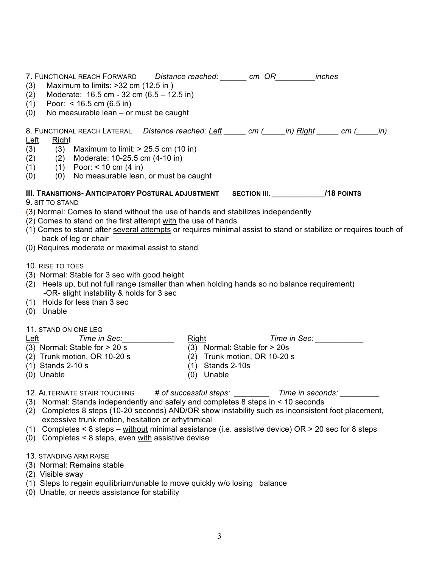7. FUNCTIONAL REACH FORWARD *Distance reached: \_\_\_\_\_\_ cm OR\_\_\_\_\_\_\_\_\_inches* (3) Maximum to limits: >32 cm (12.5 in ) (2) Moderate: 16.5 cm - 32 cm (6.5 – 12.5 in) (1) Poor: < 16.5 cm (6.5 in) (0) No measurable lean – or must be caught 8. FUNCTIONAL REACH LATERAL*Distance reached: Left \_\_\_\_\_ cm (\_\_\_\_\_in) Right \_\_\_\_\_ cm (\_\_\_\_\_in)*  Left Right (3) (3) Maximum to limit: > 25.5 cm (10 in) (2) (2) Moderate: 10-25.5 cm (4-10 in)  $(1)$   $(1)$  Poor: < 10 cm  $(4 \text{ in})$ (0) (0) No measurable lean, or must be caught **III. TRANSITIONS- ANTICIPATORY POSTURAL ADJUSTMENT SECTION III. \_\_\_\_\_\_\_\_\_\_\_\_/18 POINTS** 9. SIT TO STAND (3) Normal: Comes to stand without the use of hands and stabilizes independently (2) Comes to stand on the first attempt with the use of hands (1) Comes to stand after several attempts or requires minimal assist to stand or stabilize or requires touch of back of leg or chair (0) Requires moderate or maximal assist to stand 10. RISE TO TOES (3) Normal: Stable for 3 sec with good height (2) Heels up, but not full range (smaller than when holding hands so no balance requirement) -OR- slight instability & holds for 3 sec (1) Holds for less than 3 sec (0) Unable 11. STAND ON ONE LEG Left *Time in Sec:\_\_\_\_\_\_\_\_\_\_\_\_*  Right *Time in Sec: \_\_\_\_\_\_\_\_\_\_\_* (3) Normal: Stable for > 20 s (2) Trunk motion, OR 10-20 s (1) Stands 2-10 s (0) Unable (3) Normal: Stable for > 20s (2) Trunk motion, OR 10-20 s (1) Stands 2-10s (0) Unable 12. ALTERNATE STAIR TOUCHING *# of successful steps: \_\_\_\_\_\_\_\_ Time in seconds: \_\_\_\_\_\_\_\_\_* (3) Normal: Stands independently and safely and completes 8 steps in < 10 seconds (2) Completes 8 steps (10-20 seconds) AND/OR show instability such as inconsistent foot placement, excessive trunk motion, hesitation or arhythmical (1) Completes < 8 steps – without minimal assistance (i.e. assistive device)  $OR > 20$  sec for 8 steps (0) Completes < 8 steps, even with assistive devise 13. STANDING ARM RAISE (3) Normal: Remains stable

- (2) Visible sway
- (1) Steps to regain equilibrium/unable to move quickly w/o losing balance
- (0) Unable, or needs assistance for stability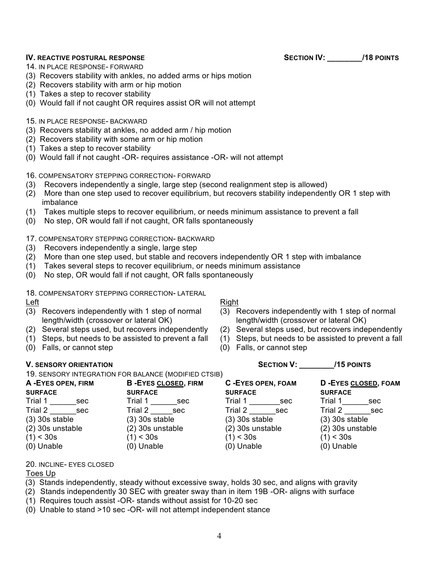# **IV. REACTIVE POSTURAL RESPONSE SECTION IV: SECTION IV:** /18 POINTS

- 14. IN PLACE RESPONSE- FORWARD
- (3) Recovers stability with ankles, no added arms or hips motion
- (2) Recovers stability with arm or hip motion
- (1) Takes a step to recover stability
- (0) Would fall if not caught OR requires assist OR will not attempt
- 15. IN PLACE RESPONSE- BACKWARD
- (3) Recovers stability at ankles, no added arm / hip motion
- (2) Recovers stability with some arm or hip motion
- (1) Takes a step to recover stability
- (0) Would fall if not caught -OR- requires assistance -OR- will not attempt

### 16. COMPENSATORY STEPPING CORRECTION- FORWARD

- (3) Recovers independently a single, large step (second realignment step is allowed)
- (2) More than one step used to recover equilibrium, but recovers stability independently OR 1 step with imbalance
- (1) Takes multiple steps to recover equilibrium, or needs minimum assistance to prevent a fall
- (0) No step, OR would fall if not caught, OR falls spontaneously

17. COMPENSATORY STEPPING CORRECTION- BACKWARD

- (3) Recovers independently a single, large step
- (2) More than one step used, but stable and recovers independently OR 1 step with imbalance
- (1) Takes several steps to recover equilibrium, or needs minimum assistance
- (0) No step, OR would fall if not caught, OR falls spontaneously

18. COMPENSATORY STEPPING CORRECTION- LATERAL

Left

- (3) Recovers independently with 1 step of normal length/width (crossover or lateral OK)
- (2) Several steps used, but recovers independently
- (1) Steps, but needs to be assisted to prevent a fall
- (0) Falls, or cannot step

## **V. SENSORY ORIENTATION SECTION V: \_\_\_\_\_\_\_\_/15 POINTS**

19. SENSORY INTEGRATION FOR BALANCE (MODIFIED CTSIB)

| A-EYES OPEN, FIRM |     | <b>B-EYES CLOSED, FIRM</b> | <b>C-EYES OPEN, FOAM</b> | <b>D-EYES CLOSED, FOAM</b> |
|-------------------|-----|----------------------------|--------------------------|----------------------------|
| <b>SURFACE</b>    |     | <b>SURFACE</b>             | <b>SURFACE</b>           | <b>SURFACE</b>             |
| Trial 1           | sec | Trial 1<br>sec             | Trial 1<br>sec           | Trial 1<br>sec             |
| Trial 2           | sec | Trial 2<br>sec             | Trial 2<br>sec           | Trial 2<br>sec             |
| $(3)$ 30s stable  |     | $(3)$ 30s stable           | $(3)$ 30s stable         | $(3)$ 30s stable           |
| (2) 30s unstable  |     | (2) 30s unstable           | (2) 30s unstable         | (2) 30s unstable           |
| (1) < 30s         |     | (1) < 30s                  | (1) < 30s                | (1) < 30s                  |
| $(0)$ Unable      |     | $(0)$ Unable               | $(0)$ Unable             | $(0)$ Unable               |

**Right** 

(0) Falls, or cannot step

(3) Recovers independently with 1 step of normal length/width (crossover or lateral OK) (2) Several steps used, but recovers independently (1) Steps, but needs to be assisted to prevent a fall

### 20. INCLINE- EYES CLOSED

Toes Up

- (3) Stands independently, steady without excessive sway, holds 30 sec, and aligns with gravity
- (2) Stands independently 30 SEC with greater sway than in item 19B -OR- aligns with surface
- (1) Requires touch assist -OR- stands without assist for 10-20 sec
- (0) Unable to stand >10 sec -OR- will not attempt independent stance